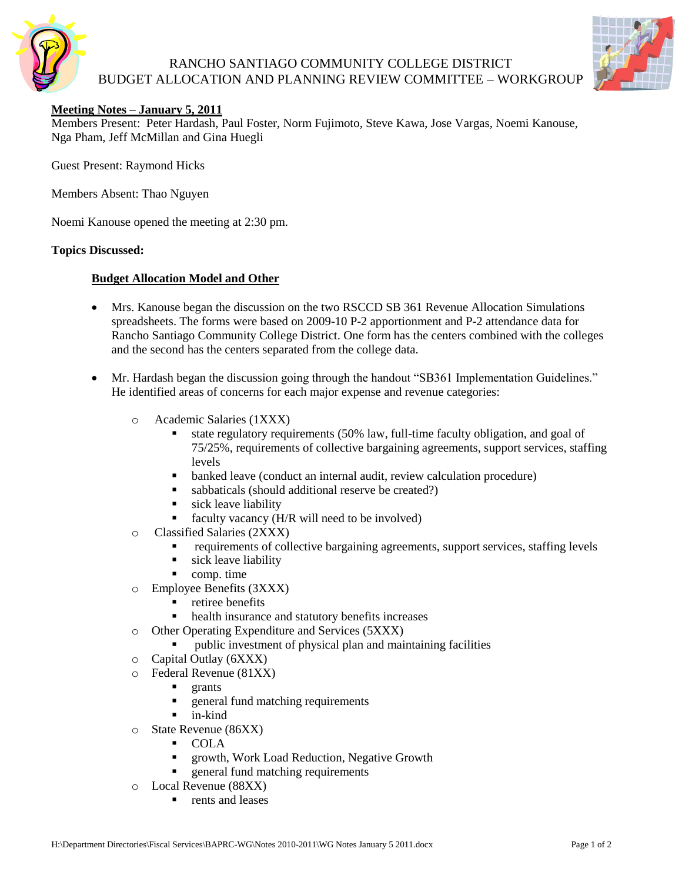

## RANCHO SANTIAGO COMMUNITY COLLEGE DISTRICT BUDGET ALLOCATION AND PLANNING REVIEW COMMITTEE – WORKGROUP



## **Meeting Notes – January 5, 2011**

Members Present: Peter Hardash, Paul Foster, Norm Fujimoto, Steve Kawa, Jose Vargas, Noemi Kanouse, Nga Pham, Jeff McMillan and Gina Huegli

Guest Present: Raymond Hicks

Members Absent: Thao Nguyen

Noemi Kanouse opened the meeting at 2:30 pm.

#### **Topics Discussed:**

### **Budget Allocation Model and Other**

- Mrs. Kanouse began the discussion on the two RSCCD SB 361 Revenue Allocation Simulations spreadsheets. The forms were based on 2009-10 P-2 apportionment and P-2 attendance data for Rancho Santiago Community College District. One form has the centers combined with the colleges and the second has the centers separated from the college data.
- Mr. Hardash began the discussion going through the handout "SB361 Implementation Guidelines." He identified areas of concerns for each major expense and revenue categories:
	- o Academic Salaries (1XXX)
		- state regulatory requirements (50% law, full-time faculty obligation, and goal of 75/25%, requirements of collective bargaining agreements, support services, staffing levels
		- banked leave (conduct an internal audit, review calculation procedure)
		- sabbaticals (should additional reserve be created?)
		- sick leave liability
		- faculty vacancy (H/R will need to be involved)
	- o Classified Salaries (2XXX)
		- requirements of collective bargaining agreements, support services, staffing levels
		- sick leave liability
		- comp. time
	- o Employee Benefits (3XXX)
		- retiree benefits
		- health insurance and statutory benefits increases
	- o Other Operating Expenditure and Services (5XXX)
		- public investment of physical plan and maintaining facilities
	- o Capital Outlay (6XXX)
	- o Federal Revenue (81XX)
		- **grants**
		- **EXECUTE:** 1 general fund matching requirements
		- $\blacksquare$  in-kind
	- o State Revenue (86XX)
		- COLA
		- **F** growth, Work Load Reduction, Negative Growth
		- **queral fund matching requirements**
	- o Local Revenue (88XX)
		- rents and leases